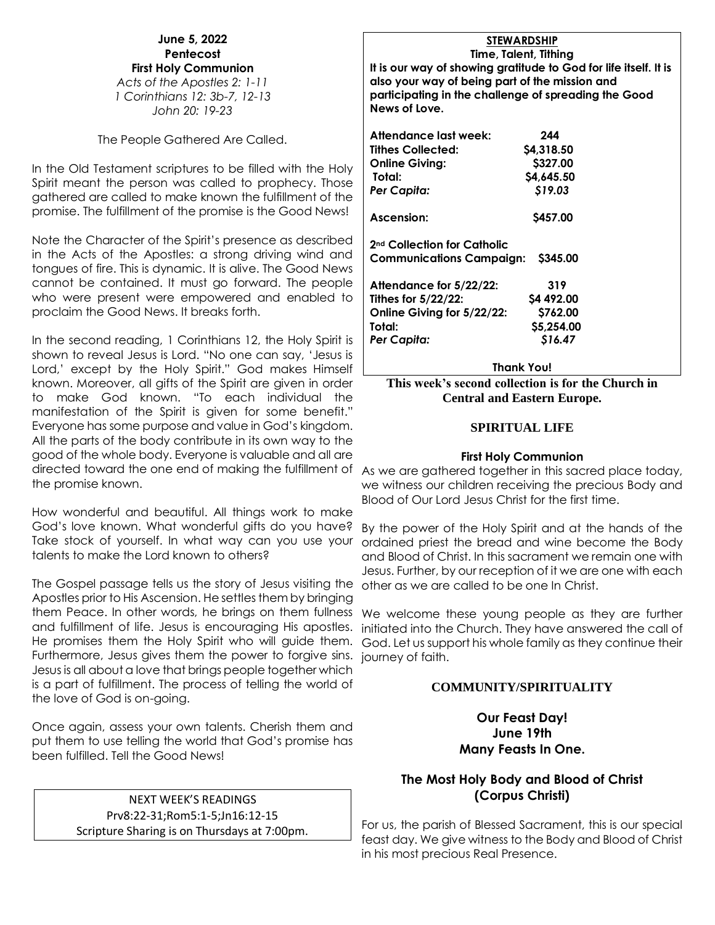# **June 5, 2022 Pentecost First Holy Communion**

*Acts of the Apostles 2: 1-11 1 Corinthians 12: 3b-7, 12-13 John 20: 19-23*

The People Gathered Are Called.

In the Old Testament scriptures to be filled with the Holy Spirit meant the person was called to prophecy. Those gathered are called to make known the fulfillment of the promise. The fulfillment of the promise is the Good News!

Note the Character of the Spirit's presence as described in the Acts of the Apostles: a strong driving wind and tongues of fire. This is dynamic. It is alive. The Good News cannot be contained. It must go forward. The people who were present were empowered and enabled to proclaim the Good News. It breaks forth.

In the second reading, 1 Corinthians 12, the Holy Spirit is shown to reveal Jesus is Lord. "No one can say, 'Jesus is Lord,' except by the Holy Spirit." God makes Himself known. Moreover, all gifts of the Spirit are given in order to make God known. "To each individual the manifestation of the Spirit is given for some benefit." Everyone has some purpose and value in God's kingdom. All the parts of the body contribute in its own way to the good of the whole body. Everyone is valuable and all are directed toward the one end of making the fulfillment of As we are gathered together in this sacred place today, the promise known.

How wonderful and beautiful. All things work to make God's love known. What wonderful gifts do you have? Take stock of yourself. In what way can you use your talents to make the Lord known to others?

The Gospel passage tells us the story of Jesus visiting the other as we are called to be one In Christ. Apostles prior to His Ascension. He settles them by bringing them Peace. In other words, he brings on them fullness and fulfillment of life. Jesus is encouraging His apostles. He promises them the Holy Spirit who will guide them. Furthermore, Jesus gives them the power to forgive sins. journey of faith. Jesus is all about a love that brings people together which is a part of fulfillment. The process of telling the world of the love of God is on-going.

Once again, assess your own talents. Cherish them and put them to use telling the world that God's promise has been fulfilled. Tell the Good News!

> NEXT WEEK'S READINGS Prv8:22-31;Rom5:1-5;Jn16:12-15 Scripture Sharing is on Thursdays at 7:00pm.

# **STEWARDSHIP**

**Time, Talent, Tithing It is our way of showing gratitude to God for life itself. It is also your way of being part of the mission and participating in the challenge of spreading the Good News of Love.**

| Attendance last week:                   | 244              |
|-----------------------------------------|------------------|
| Tithes Collected:                       | \$4,318.50       |
| <b>Online Giving:</b>                   | \$327.00         |
| Total:                                  | \$4,645.50       |
| Per Capita:                             | \$19.03          |
| Ascension:                              | \$457.00         |
| 2 <sup>nd</sup> Collection for Catholic |                  |
| <b>Communications Campaign:</b>         | S345.00          |
| Attendance for 5/22/22:                 | 319              |
| Tithes for $5/22/22$ :                  | <b>S4 492.00</b> |
| Online Giving for 5/22/22:              | S762.00          |
| Total:                                  | \$5,254.00       |
| Per Capita:                             | \$16.47          |
|                                         | Thank You!       |

**This week's second collection is for the Church in Central and Eastern Europe.**

#### **SPIRITUAL LIFE**

#### **First Holy Communion**

we witness our children receiving the precious Body and Blood of Our Lord Jesus Christ for the first time.

By the power of the Holy Spirit and at the hands of the ordained priest the bread and wine become the Body and Blood of Christ. In this sacrament we remain one with Jesus. Further, by our reception of it we are one with each

We welcome these young people as they are further initiated into the Church. They have answered the call of God. Let us support his whole family as they continue their

# **COMMUNITY/SPIRITUALITY**

**Our Feast Day! June 19th Many Feasts In One.**

# **The Most Holy Body and Blood of Christ (Corpus Christi)**

For us, the parish of Blessed Sacrament, this is our special feast day. We give witness to the Body and Blood of Christ in his most precious Real Presence.